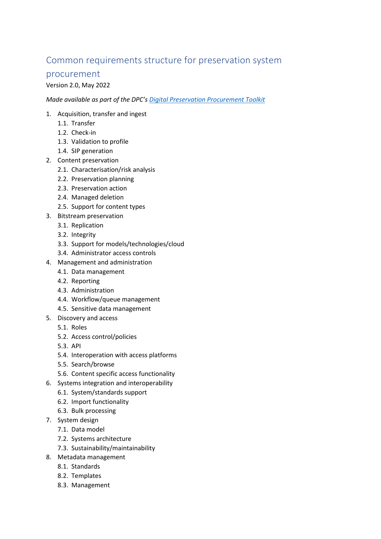## Common requirements structure for preservation system

## procurement

## Version 2.0, May 2022

*Made available as part of the DPC's [Digital Preservation Procurement Toolkit](https://www.dpconline.org/digipres/implement-digipres/procurement-toolkit)*

- 1. Acquisition, transfer and ingest
	- 1.1. Transfer
	- 1.2. Check-in
	- 1.3. Validation to profile
	- 1.4. SIP generation
- 2. Content preservation
	- 2.1. Characterisation/risk analysis
	- 2.2. Preservation planning
	- 2.3. Preservation action
	- 2.4. Managed deletion
	- 2.5. Support for content types
- 3. Bitstream preservation
	- 3.1. Replication
	- 3.2. Integrity
	- 3.3. Support for models/technologies/cloud
	- 3.4. Administrator access controls
- 4. Management and administration
	- 4.1. Data management
	- 4.2. Reporting
	- 4.3. Administration
	- 4.4. Workflow/queue management
	- 4.5. Sensitive data management
- 5. Discovery and access
	- 5.1. Roles
	- 5.2. Access control/policies
	- 5.3. API
	- 5.4. Interoperation with access platforms
	- 5.5. Search/browse
	- 5.6. Content specific access functionality
- 6. Systems integration and interoperability
	- 6.1. System/standards support
	- 6.2. Import functionality
	- 6.3. Bulk processing
- 7. System design
	- 7.1. Data model
	- 7.2. Systems architecture
	- 7.3. Sustainability/maintainability
- 8. Metadata management
	- 8.1. Standards
	- 8.2. Templates
	- 8.3. Management